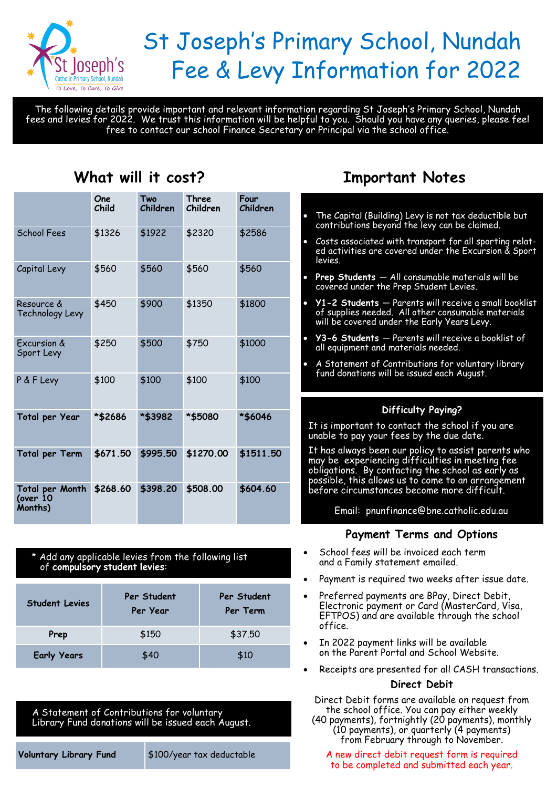

# St Joseph's Primary School, Nundah Fee & Levy Information for 2022

The following details provide important and relevant information regarding St Joseph's Primary School, Nundah fees and levies for 2022. We trust this information will be helpful to you. Should you have any queries, please feel free to contact our school Finance Secretary or Principal via the school office.

# **One Child Two Children Three Children Four Children** School Fees \$1326 \$1922 \$2320 \$2586 Capital Levy \$560 \$560 \$560 \$560 Resource & Technology Levy \$450 \$900 \$1350 \$1800 Excursion & Sport Levy \$250 \$500 \$750 \$1000 P & F Levy \$100 \$100 \$100 \$100 **Total per Year \*\$2686 \*\$3982 \*\$5080 \*\$6046 Total per Term \$671.50 \$995.50 \$1270.00 \$1511.50 Total per Month (over 10 Months) \$268.60 \$398.20 \$508.00 \$604.60**

# **What will it cost?**

#### \* Add any applicable levies from the following list of **compulsory student levies**:

| <b>Student Levies</b> | Per Student<br>Per Year | Per Student<br>Per Term |
|-----------------------|-------------------------|-------------------------|
| Prep                  | \$150                   | \$37.50                 |
| <b>Early Years</b>    | \$40                    | \$10                    |

A Statement of Contributions for voluntary Library Fund donations will be issued each August.

**Voluntary Library Fund** \$100/year tax deductable

# **Important Notes**

- The Capital (Building) Levy is not tax deductible but contributions beyond the levy can be claimed.
- Costs associated with transport for all sporting related activities are covered under the Excursion & Sport levies.
- **Prep Students**  All consumable materials will be covered under the Prep Student Levies.
- **Y1-2 Students**  Parents will receive a small booklist of supplies needed. All other consumable materials will be covered under the Early Years Levy.
- **Y3-6 Students**  Parents will receive a booklist of all equipment and materials needed.
- A Statement of Contributions for voluntary library fund donations will be issued each August.

# **Difficulty Paying?**

It is important to contact the school if you are unable to pay your fees by the due date.

It has always been our policy to assist parents who may be experiencing difficulties in meeting fee obligations. By contacting the school as early as possible, this allows us to come to an arrangement before circumstances become more difficult.

Email: pnunfinance@bne.catholic.edu.au

# **Payment Terms and Options**

- School fees will be invoiced each term and a Family statement emailed.
- Payment is required two weeks after issue date.
- Preferred payments are BPay, Direct Debit, Electronic payment or Card (MasterCard, Visa, EFTPOS) and are available through the school office.
- In 2022 payment links will be available on the Parent Portal and School Website.
- Receipts are presented for all CASH transactions.

## **Direct Debit**

Direct Debit forms are available on request from the school office. You can pay either weekly (40 payments), fortnightly (20 payments), monthly (10 payments), or quarterly (4 payments) from February through to November.

A new direct debit request form is required to be completed and submitted each year.